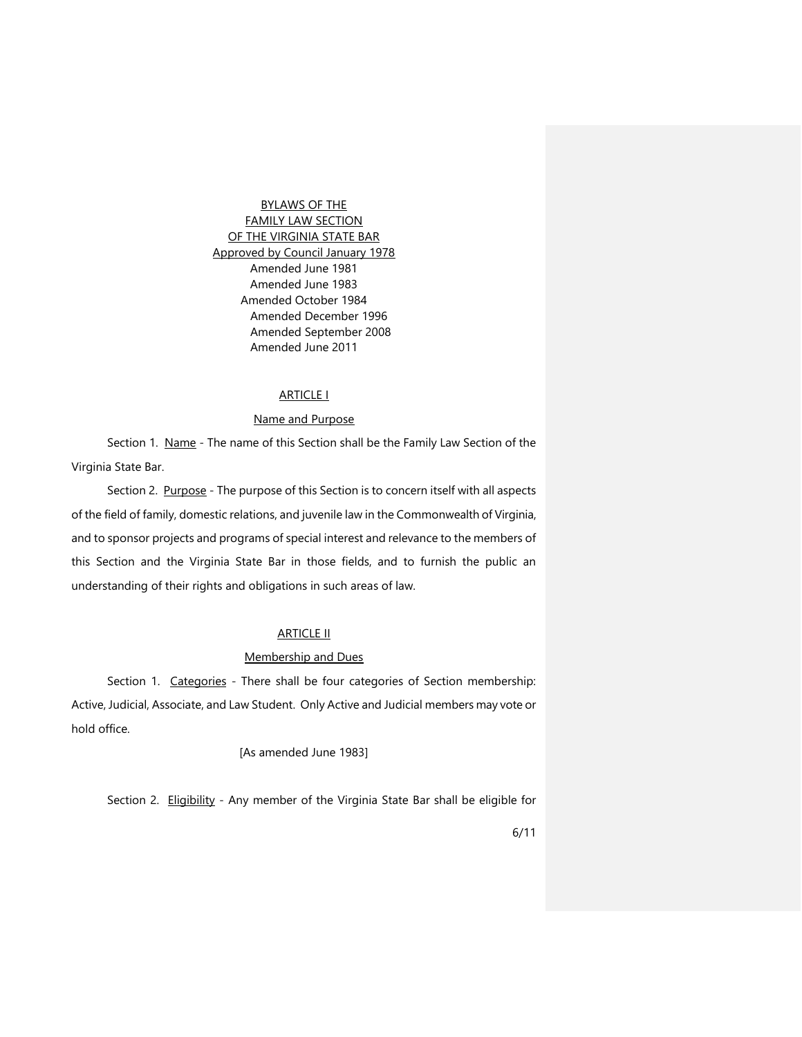BYLAWS OF THE FAMILY LAW SECTION OF THE VIRGINIA STATE BAR Approved by Council January 1978 Amended June 1981 Amended June 1983 Amended October 1984 Amended December 1996 Amended September 2008 Amended June 2011

## ARTICLE I

## Name and Purpose

Section 1. Name - The name of this Section shall be the Family Law Section of the Virginia State Bar.

Section 2. Purpose - The purpose of this Section is to concern itself with all aspects of the field of family, domestic relations, and juvenile law in the Commonwealth of Virginia, and to sponsor projects and programs of special interest and relevance to the members of this Section and the Virginia State Bar in those fields, and to furnish the public an understanding of their rights and obligations in such areas of law.

# **ARTICLE II**

#### Membership and Dues

Section 1. Categories - There shall be four categories of Section membership: Active, Judicial, Associate, and Law Student. Only Active and Judicial members may vote or hold office.

[As amended June 1983]

Section 2. Eligibility - Any member of the Virginia State Bar shall be eligible for

6/11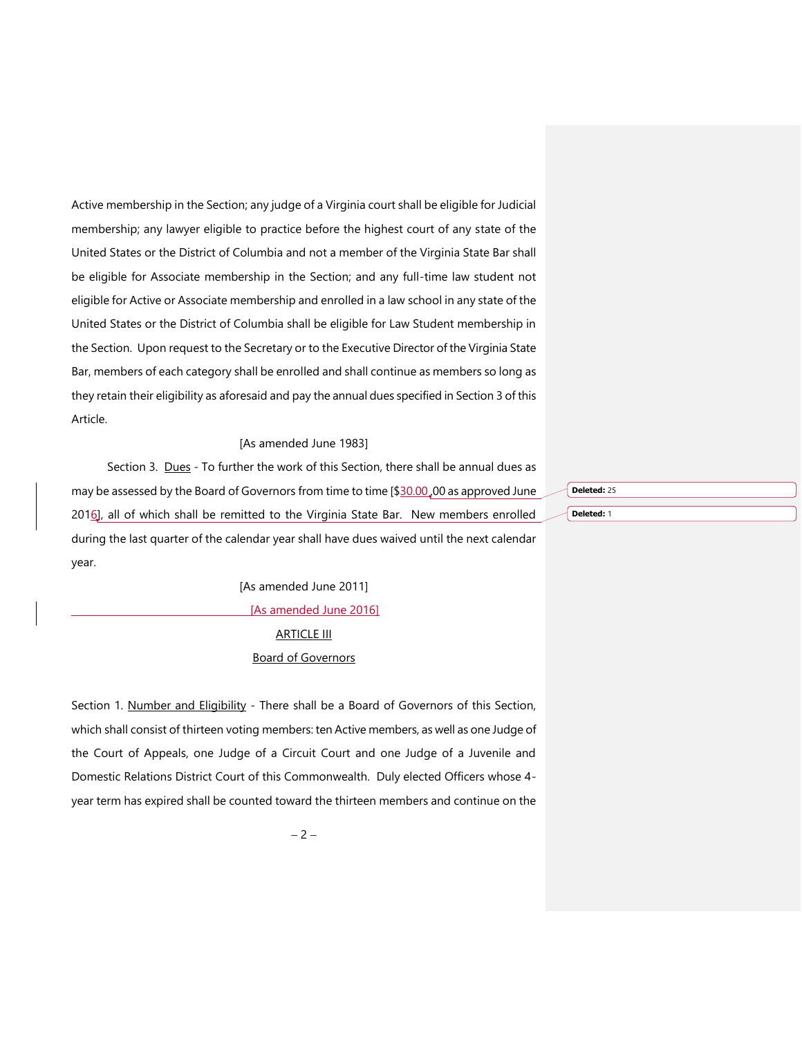Active membership in the Section; any judge of a Virginia court shall be eligible for Judicial membership; any lawyer eligible to practice before the highest court of any state of the United States or the District of Columbia and not a member of the Virginia State Bar shall be eligible for Associate membership in the Section; and any full-time law student not eligible for Active or Associate membership and enrolled in a law school in any state of the United States or the District of Columbia shall be eligible for Law Student membership in the Section. Upon request to the Secretary or to the Executive Director of the Virginia State Bar, members of each category shall be enrolled and shall continue as members so long as they retain their eligibility as aforesaid and pay the annual dues specified in Section 3 of this Article.

#### [As amended June 1983]

Section 3. Dues - To further the work of this Section, there shall be annual dues as may be assessed by the Board of Governors from time to time [\$30.00,00 as approved June 2016], all of which shall be remitted to the Virginia State Bar. New members enrolled during the last quarter of the calendar year shall have dues waived until the next calendar year.

> [As amended June 2011] [As amended June 2016]

# **ARTICLE III** Board of Governors

Section 1. Number and Eligibility - There shall be a Board of Governors of this Section, which shall consist of thirteen voting members: ten Active members, as well as one Judge of the Court of Appeals, one Judge of a Circuit Court and one Judge of a Juvenile and Domestic Relations District Court of this Commonwealth. Duly elected Officers whose 4 year term has expired shall be counted toward the thirteen members and continue on the

 $-2-$ 

**Deleted:** 25 **Deleted:** 1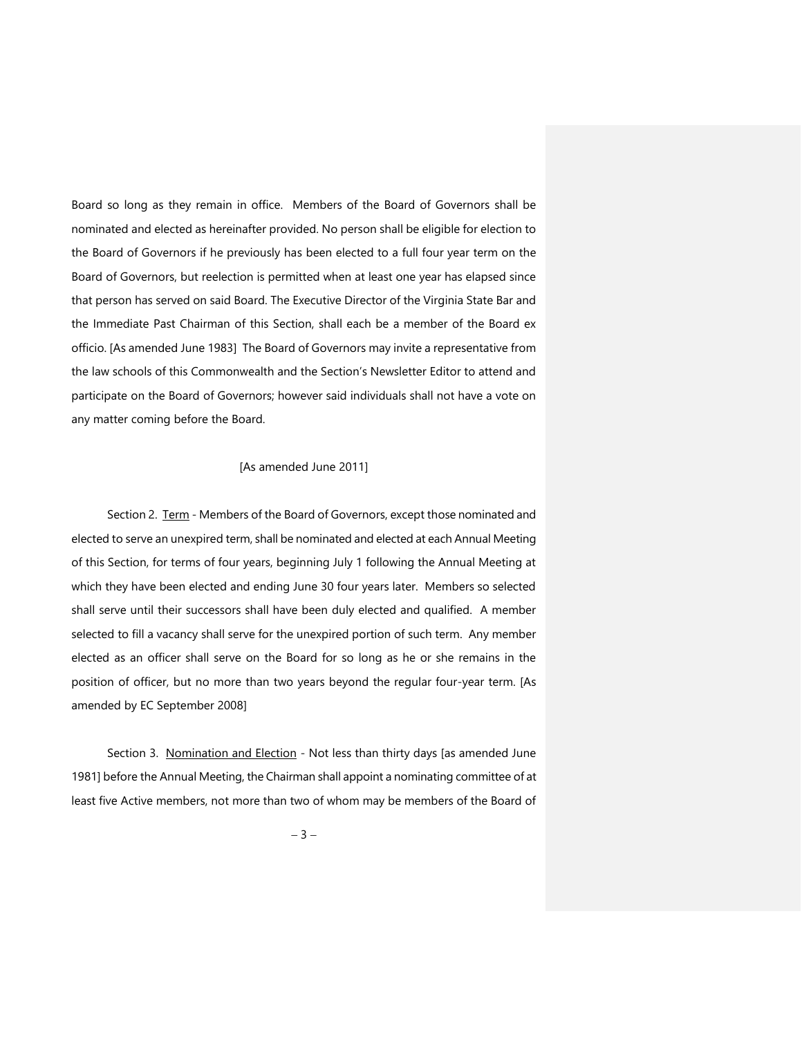Board so long as they remain in office. Members of the Board of Governors shall be nominated and elected as hereinafter provided. No person shall be eligible for election to the Board of Governors if he previously has been elected to a full four year term on the Board of Governors, but reelection is permitted when at least one year has elapsed since that person has served on said Board. The Executive Director of the Virginia State Bar and the Immediate Past Chairman of this Section, shall each be a member of the Board ex officio. [As amended June 1983] The Board of Governors may invite a representative from the law schools of this Commonwealth and the Section's Newsletter Editor to attend and participate on the Board of Governors; however said individuals shall not have a vote on any matter coming before the Board.

## [As amended June 2011]

Section 2. Term - Members of the Board of Governors, except those nominated and elected to serve an unexpired term, shall be nominated and elected at each Annual Meeting of this Section, for terms of four years, beginning July 1 following the Annual Meeting at which they have been elected and ending June 30 four years later. Members so selected shall serve until their successors shall have been duly elected and qualified. A member selected to fill a vacancy shall serve for the unexpired portion of such term. Any member elected as an officer shall serve on the Board for so long as he or she remains in the position of officer, but no more than two years beyond the regular four-year term. [As amended by EC September 2008]

Section 3. Nomination and Election - Not less than thirty days [as amended June 1981] before the Annual Meeting, the Chairman shall appoint a nominating committee of at least five Active members, not more than two of whom may be members of the Board of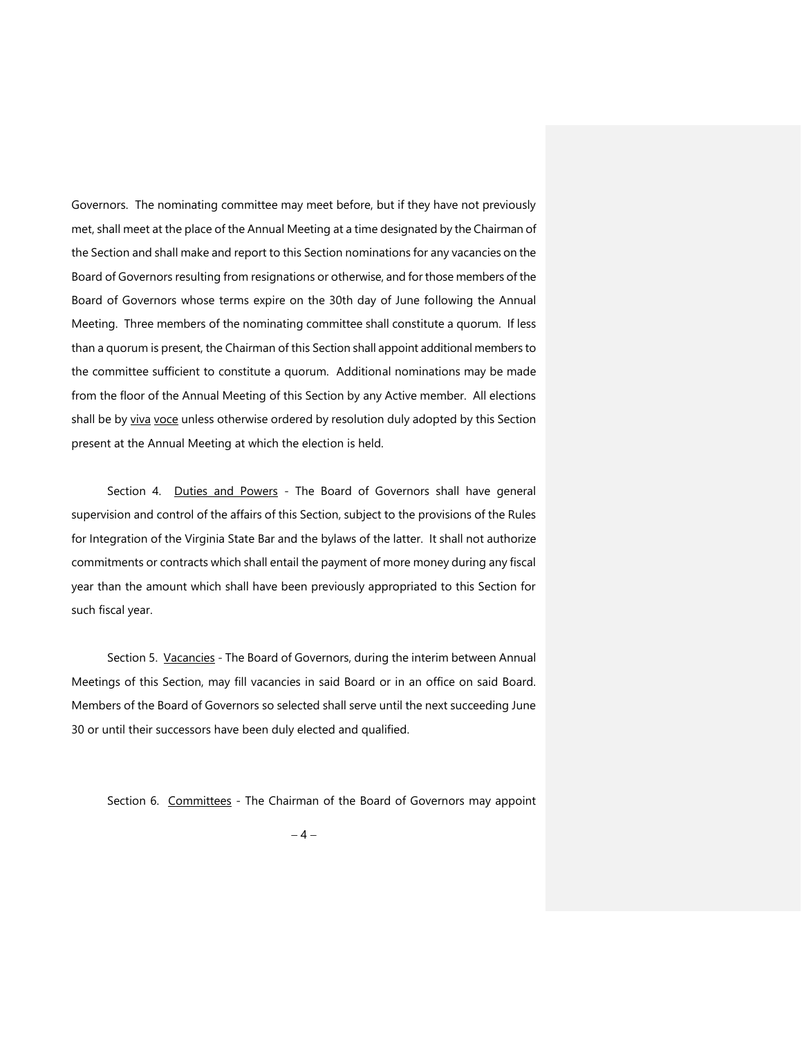Governors. The nominating committee may meet before, but if they have not previously met, shall meet at the place of the Annual Meeting at a time designated by the Chairman of the Section and shall make and report to this Section nominations for any vacancies on the Board of Governors resulting from resignations or otherwise, and for those members of the Board of Governors whose terms expire on the 30th day of June following the Annual Meeting. Three members of the nominating committee shall constitute a quorum. If less than a quorum is present, the Chairman of this Section shall appoint additional members to the committee sufficient to constitute a quorum. Additional nominations may be made from the floor of the Annual Meeting of this Section by any Active member. All elections shall be by viva voce unless otherwise ordered by resolution duly adopted by this Section present at the Annual Meeting at which the election is held.

Section 4. Duties and Powers - The Board of Governors shall have general supervision and control of the affairs of this Section, subject to the provisions of the Rules for Integration of the Virginia State Bar and the bylaws of the latter. It shall not authorize commitments or contracts which shall entail the payment of more money during any fiscal year than the amount which shall have been previously appropriated to this Section for such fiscal year.

Section 5. Vacancies - The Board of Governors, during the interim between Annual Meetings of this Section, may fill vacancies in said Board or in an office on said Board. Members of the Board of Governors so selected shall serve until the next succeeding June 30 or until their successors have been duly elected and qualified.

Section 6. Committees - The Chairman of the Board of Governors may appoint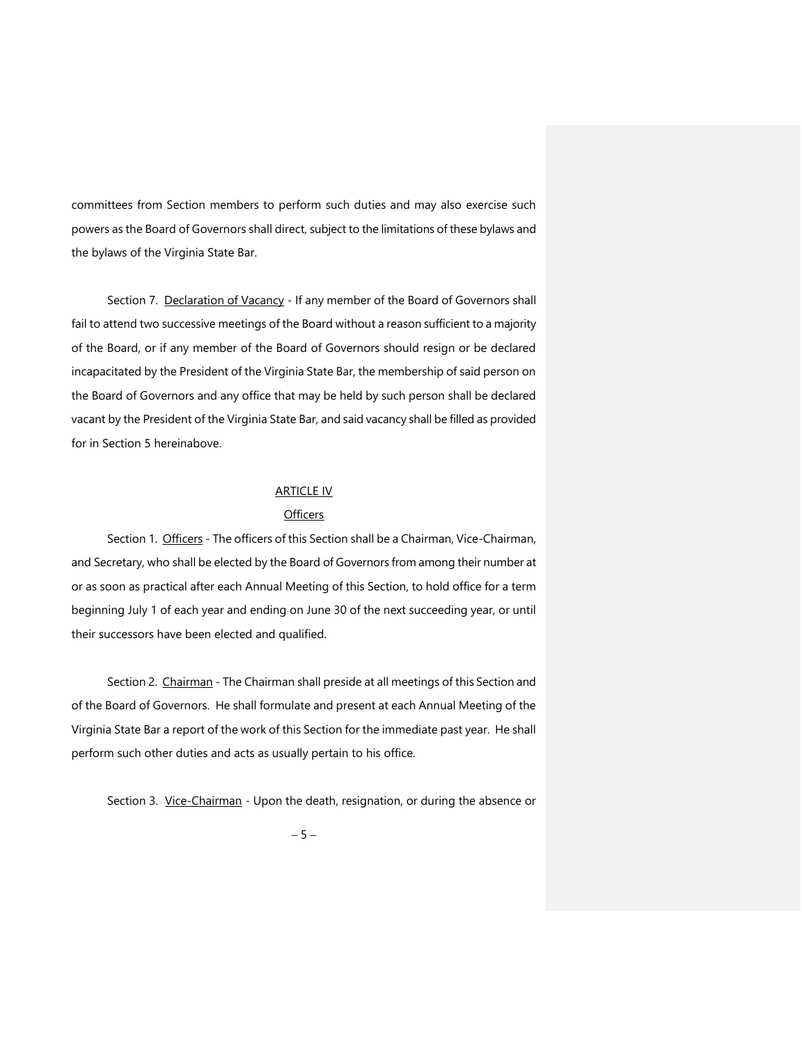committees from Section members to perform such duties and may also exercise such powers as the Board of Governors shall direct, subject to the limitations of these bylaws and the bylaws of the Virginia State Bar.

Section 7. Declaration of Vacancy - If any member of the Board of Governors shall fail to attend two successive meetings of the Board without a reason sufficient to a majority of the Board, or if any member of the Board of Governors should resign or be declared incapacitated by the President of the Virginia State Bar, the membership of said person on the Board of Governors and any office that may be held by such person shall be declared vacant by the President of the Virginia State Bar, and said vacancy shall be filled as provided for in Section 5 hereinabove.

## **ARTICLE IV**

#### **Officers**

Section 1. Officers - The officers of this Section shall be a Chairman, Vice-Chairman, and Secretary, who shall be elected by the Board of Governors from among their number at or as soon as practical after each Annual Meeting of this Section, to hold office for a term beginning July 1 of each year and ending on June 30 of the next succeeding year, or until their successors have been elected and qualified.

Section 2. Chairman - The Chairman shall preside at all meetings of this Section and of the Board of Governors. He shall formulate and present at each Annual Meeting of the Virginia State Bar a report of the work of this Section for the immediate past year. He shall perform such other duties and acts as usually pertain to his office.

Section 3. Vice-Chairman - Upon the death, resignation, or during the absence or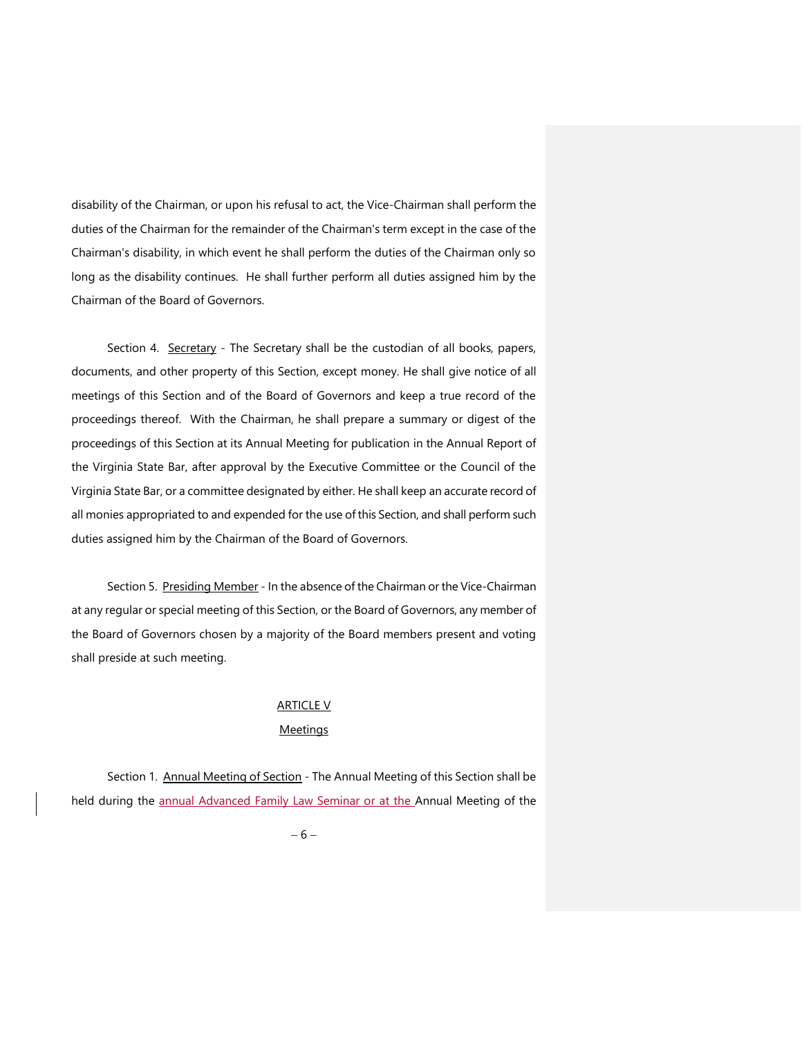disability of the Chairman, or upon his refusal to act, the Vice-Chairman shall perform the duties of the Chairman for the remainder of the Chairman's term except in the case of the Chairman's disability, in which event he shall perform the duties of the Chairman only so long as the disability continues. He shall further perform all duties assigned him by the Chairman of the Board of Governors.

Section 4. Secretary - The Secretary shall be the custodian of all books, papers, documents, and other property of this Section, except money. He shall give notice of all meetings of this Section and of the Board of Governors and keep a true record of the proceedings thereof. With the Chairman, he shall prepare a summary or digest of the proceedings of this Section at its Annual Meeting for publication in the Annual Report of the Virginia State Bar, after approval by the Executive Committee or the Council of the Virginia State Bar, or a committee designated by either. He shall keep an accurate record of all monies appropriated to and expended for the use of this Section, and shall perform such duties assigned him by the Chairman of the Board of Governors.

Section 5. Presiding Member - In the absence of the Chairman or the Vice-Chairman at any regular or special meeting of this Section, or the Board of Governors, any member of the Board of Governors chosen by a majority of the Board members present and voting shall preside at such meeting.

# **ARTICLE V**

# **Meetings**

Section 1. Annual Meeting of Section - The Annual Meeting of this Section shall be held during the annual Advanced Family Law Seminar or at the Annual Meeting of the

 $-6-$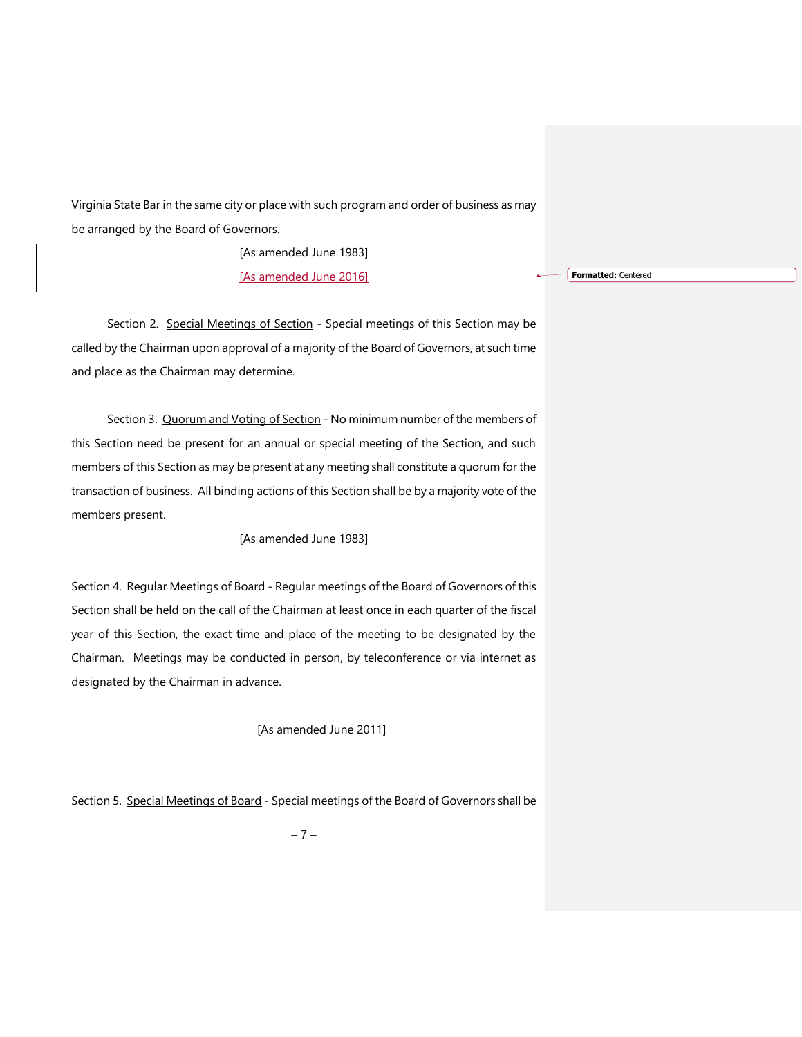Virginia State Bar in the same city or place with such program and order of business as may be arranged by the Board of Governors.

[As amended June 1983]

[As amended June 2016]

Section 2. Special Meetings of Section - Special meetings of this Section may be called by the Chairman upon approval of a majority of the Board of Governors, at such time and place as the Chairman may determine.

Section 3. Quorum and Voting of Section - No minimum number of the members of this Section need be present for an annual or special meeting of the Section, and such members of this Section as may be present at any meeting shall constitute a quorum for the transaction of business. All binding actions of this Section shall be by a majority vote of the members present.

[As amended June 1983]

Section 4. Regular Meetings of Board - Regular meetings of the Board of Governors of this Section shall be held on the call of the Chairman at least once in each quarter of the fiscal year of this Section, the exact time and place of the meeting to be designated by the Chairman. Meetings may be conducted in person, by teleconference or via internet as designated by the Chairman in advance.

[As amended June 2011]

Section 5. Special Meetings of Board - Special meetings of the Board of Governors shall be

 $-7-$ 

**Formatted:** Centered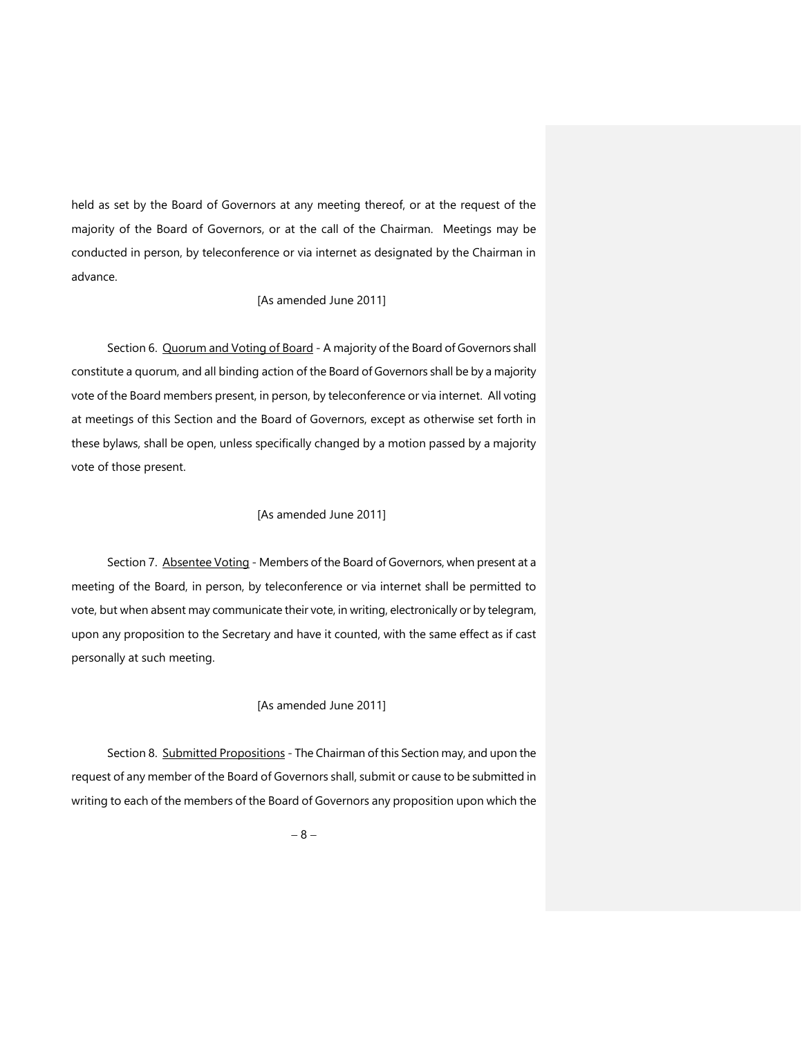held as set by the Board of Governors at any meeting thereof, or at the request of the majority of the Board of Governors, or at the call of the Chairman. Meetings may be conducted in person, by teleconference or via internet as designated by the Chairman in advance.

## [As amended June 2011]

Section 6. Quorum and Voting of Board - A majority of the Board of Governors shall constitute a quorum, and all binding action of the Board of Governors shall be by a majority vote of the Board members present, in person, by teleconference or via internet. All voting at meetings of this Section and the Board of Governors, except as otherwise set forth in these bylaws, shall be open, unless specifically changed by a motion passed by a majority vote of those present.

## [As amended June 2011]

Section 7. Absentee Voting - Members of the Board of Governors, when present at a meeting of the Board, in person, by teleconference or via internet shall be permitted to vote, but when absent may communicate their vote, in writing, electronically or by telegram, upon any proposition to the Secretary and have it counted, with the same effect as if cast personally at such meeting.

# [As amended June 2011]

Section 8. Submitted Propositions - The Chairman of this Section may, and upon the request of any member of the Board of Governors shall, submit or cause to be submitted in writing to each of the members of the Board of Governors any proposition upon which the

 $-8-$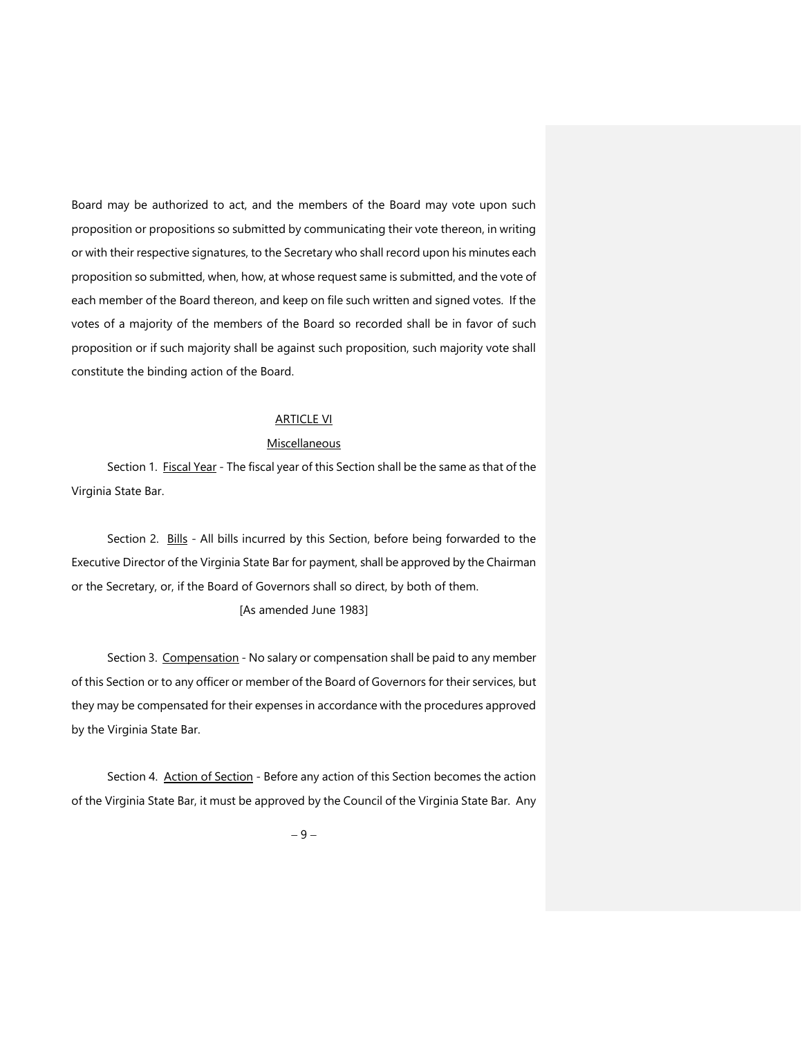Board may be authorized to act, and the members of the Board may vote upon such proposition or propositions so submitted by communicating their vote thereon, in writing or with their respective signatures, to the Secretary who shall record upon his minutes each proposition so submitted, when, how, at whose request same is submitted, and the vote of each member of the Board thereon, and keep on file such written and signed votes. If the votes of a majority of the members of the Board so recorded shall be in favor of such proposition or if such majority shall be against such proposition, such majority vote shall constitute the binding action of the Board.

# ARTICLE VI

#### **Miscellaneous**

Section 1. Fiscal Year - The fiscal year of this Section shall be the same as that of the Virginia State Bar.

Section 2. Bills - All bills incurred by this Section, before being forwarded to the Executive Director of the Virginia State Bar for payment, shall be approved by the Chairman or the Secretary, or, if the Board of Governors shall so direct, by both of them.

# [As amended June 1983]

Section 3. Compensation - No salary or compensation shall be paid to any member of this Section or to any officer or member of the Board of Governors for their services, but they may be compensated for their expenses in accordance with the procedures approved by the Virginia State Bar.

Section 4. Action of Section - Before any action of this Section becomes the action of the Virginia State Bar, it must be approved by the Council of the Virginia State Bar. Any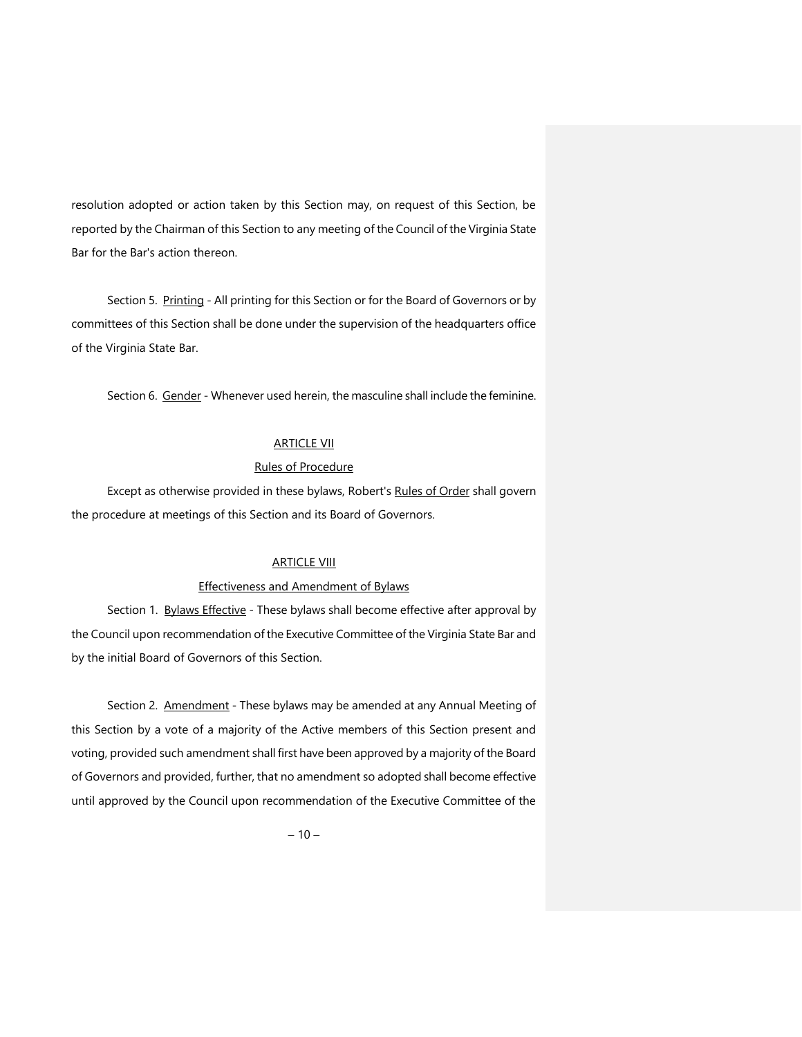resolution adopted or action taken by this Section may, on request of this Section, be reported by the Chairman of this Section to any meeting of the Council of the Virginia State Bar for the Bar's action thereon.

Section 5. Printing - All printing for this Section or for the Board of Governors or by committees of this Section shall be done under the supervision of the headquarters office of the Virginia State Bar.

Section 6. Gender - Whenever used herein, the masculine shall include the feminine.

# **ARTICLE VII**

# Rules of Procedure

Except as otherwise provided in these bylaws, Robert's Rules of Order shall govern the procedure at meetings of this Section and its Board of Governors.

# **ARTICLE VIII**

### Effectiveness and Amendment of Bylaws

Section 1. Bylaws Effective - These bylaws shall become effective after approval by the Council upon recommendation of the Executive Committee of the Virginia State Bar and by the initial Board of Governors of this Section.

Section 2. Amendment - These bylaws may be amended at any Annual Meeting of this Section by a vote of a majority of the Active members of this Section present and voting, provided such amendment shall first have been approved by a majority of the Board of Governors and provided, further, that no amendment so adopted shall become effective until approved by the Council upon recommendation of the Executive Committee of the

 $-10-$